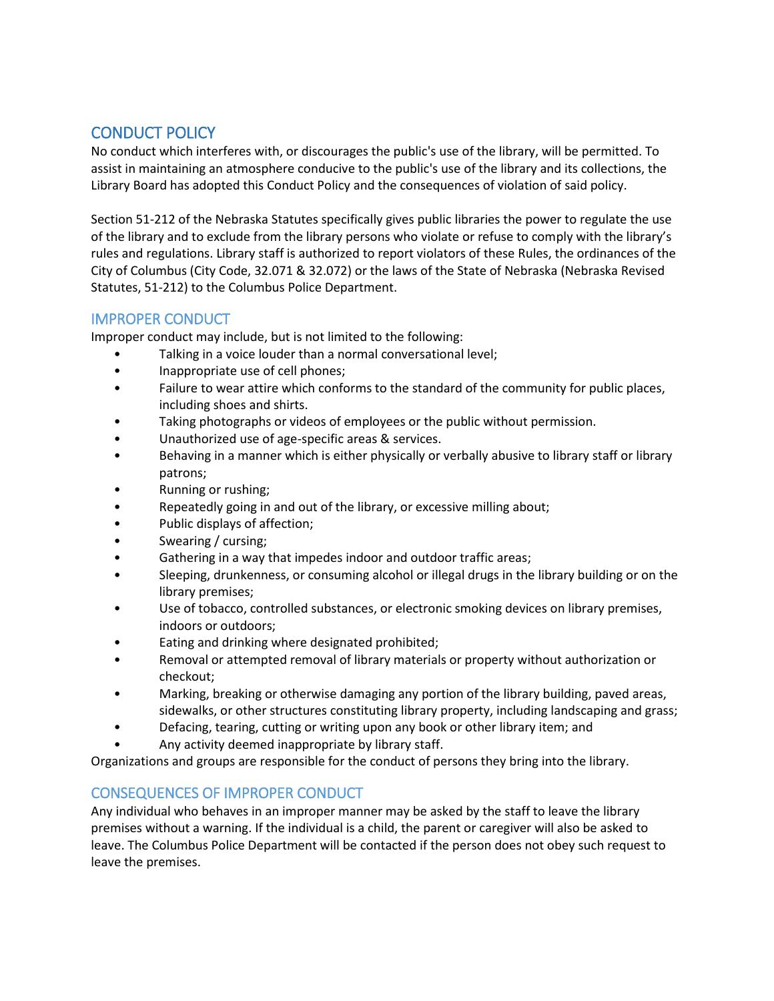## CONDUCT POLICY

No conduct which interferes with, or discourages the public's use of the library, will be permitted. To assist in maintaining an atmosphere conducive to the public's use of the library and its collections, the Library Board has adopted this Conduct Policy and the consequences of violation of said policy.

Section 51-212 of the Nebraska Statutes specifically gives public libraries the power to regulate the use of the library and to exclude from the library persons who violate or refuse to comply with the library's rules and regulations. Library staff is authorized to report violators of these Rules, the ordinances of the City of Columbus (City Code, 32.071 & 32.072) or the laws of the State of Nebraska (Nebraska Revised Statutes, 51-212) to the Columbus Police Department.

## IMPROPER CONDUCT

Improper conduct may include, but is not limited to the following:

- Talking in a voice louder than a normal conversational level;
- Inappropriate use of cell phones;
- Failure to wear attire which conforms to the standard of the community for public places, including shoes and shirts.
- Taking photographs or videos of employees or the public without permission.
- Unauthorized use of age-specific areas & services.
- Behaving in a manner which is either physically or verbally abusive to library staff or library patrons;
- Running or rushing;
- Repeatedly going in and out of the library, or excessive milling about;
- Public displays of affection;
- Swearing / cursing;
- Gathering in a way that impedes indoor and outdoor traffic areas;
- Sleeping, drunkenness, or consuming alcohol or illegal drugs in the library building or on the library premises;
- Use of tobacco, controlled substances, or electronic smoking devices on library premises, indoors or outdoors;
- Eating and drinking where designated prohibited;
- Removal or attempted removal of library materials or property without authorization or checkout;
- Marking, breaking or otherwise damaging any portion of the library building, paved areas, sidewalks, or other structures constituting library property, including landscaping and grass;
- Defacing, tearing, cutting or writing upon any book or other library item; and
- Any activity deemed inappropriate by library staff.

Organizations and groups are responsible for the conduct of persons they bring into the library.

## CONSEQUENCES OF IMPROPER CONDUCT

Any individual who behaves in an improper manner may be asked by the staff to leave the library premises without a warning. If the individual is a child, the parent or caregiver will also be asked to leave. The Columbus Police Department will be contacted if the person does not obey such request to leave the premises.